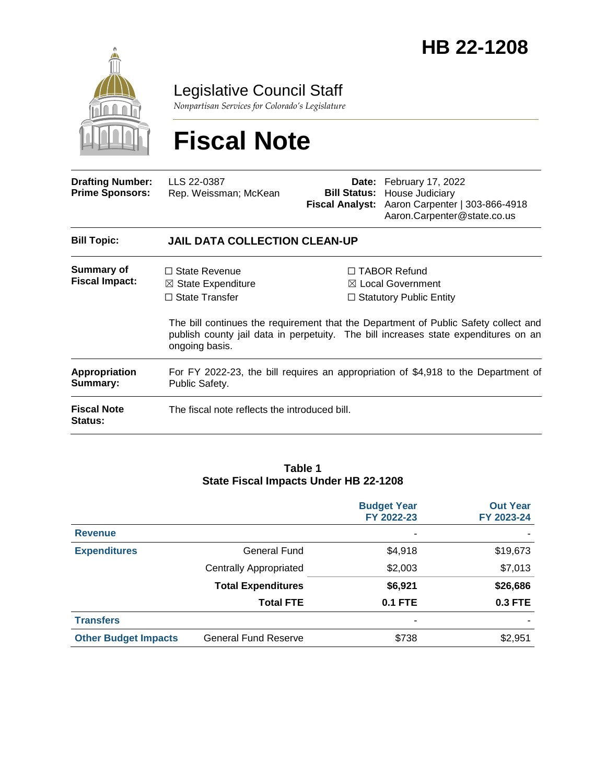

Legislative Council Staff

*Nonpartisan Services for Colorado's Legislature*

# **Fiscal Note**

| <b>Drafting Number:</b><br><b>Prime Sponsors:</b> | LLS 22-0387<br>Rep. Weissman; McKean                                                                 |  | <b>Date:</b> February 17, 2022<br><b>Bill Status:</b> House Judiciary<br>Fiscal Analyst: Aaron Carpenter   303-866-4918<br>Aaron.Carpenter@state.co.us                                                                                                              |  |
|---------------------------------------------------|------------------------------------------------------------------------------------------------------|--|---------------------------------------------------------------------------------------------------------------------------------------------------------------------------------------------------------------------------------------------------------------------|--|
| <b>Bill Topic:</b>                                | <b>JAIL DATA COLLECTION CLEAN-UP</b>                                                                 |  |                                                                                                                                                                                                                                                                     |  |
| Summary of<br><b>Fiscal Impact:</b>               | $\Box$ State Revenue<br>$\boxtimes$ State Expenditure<br>$\Box$ State Transfer<br>ongoing basis.     |  | $\Box$ TABOR Refund<br>$\boxtimes$ Local Government<br>$\Box$ Statutory Public Entity<br>The bill continues the requirement that the Department of Public Safety collect and<br>publish county jail data in perpetuity. The bill increases state expenditures on an |  |
| <b>Appropriation</b><br>Summary:                  | For FY 2022-23, the bill requires an appropriation of \$4,918 to the Department of<br>Public Safety. |  |                                                                                                                                                                                                                                                                     |  |
| <b>Fiscal Note</b><br>Status:                     | The fiscal note reflects the introduced bill.                                                        |  |                                                                                                                                                                                                                                                                     |  |

#### **Table 1 State Fiscal Impacts Under HB 22-1208**

|                             |                               | <b>Budget Year</b><br>FY 2022-23 | <b>Out Year</b><br>FY 2023-24 |
|-----------------------------|-------------------------------|----------------------------------|-------------------------------|
| <b>Revenue</b>              |                               | ۰                                |                               |
| <b>Expenditures</b>         | General Fund                  | \$4,918                          | \$19,673                      |
|                             | <b>Centrally Appropriated</b> | \$2,003                          | \$7,013                       |
|                             | <b>Total Expenditures</b>     | \$6,921                          | \$26,686                      |
|                             | <b>Total FTE</b>              | <b>0.1 FTE</b>                   | 0.3 FTE                       |
| <b>Transfers</b>            |                               | ۰                                |                               |
| <b>Other Budget Impacts</b> | <b>General Fund Reserve</b>   | \$738                            | \$2,951                       |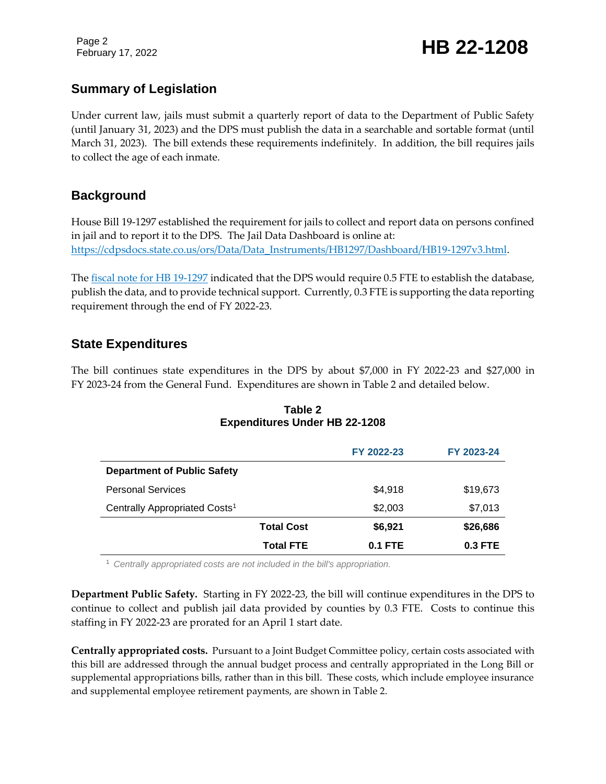Page 2

February 17, 2022 **HB 22-1208** 

### **Summary of Legislation**

Under current law, jails must submit a quarterly report of data to the Department of Public Safety (until January 31, 2023) and the DPS must publish the data in a searchable and sortable format (until March 31, 2023). The bill extends these requirements indefinitely. In addition, the bill requires jails to collect the age of each inmate.

### **Background**

House Bill 19-1297 established the requirement for jails to collect and report data on persons confined in jail and to report it to the DPS. The Jail Data Dashboard is online at: [https://cdpsdocs.state.co.us/ors/Data/Data\\_Instruments/HB1297/Dashboard/HB19-1297v3.html.](https://cdpsdocs.state.co.us/ors/Data/Data_Instruments/HB1297/Dashboard/HB19-1297v3.html)

The [fiscal note for HB 19-1297](https://leg.colorado.gov/sites/default/files/documents/2019A/bills/fn/2019a_hb1297_f1.pdf) indicated that the DPS would require 0.5 FTE to establish the database, publish the data, and to provide technical support. Currently, 0.3 FTE is supporting the data reporting requirement through the end of FY 2022-23.

### **State Expenditures**

The bill continues state expenditures in the DPS by about \$7,000 in FY 2022-23 and \$27,000 in FY 2023-24 from the General Fund. Expenditures are shown in Table 2 and detailed below.

|                                           |                   | FY 2022-23     | FY 2023-24 |
|-------------------------------------------|-------------------|----------------|------------|
| <b>Department of Public Safety</b>        |                   |                |            |
| <b>Personal Services</b>                  |                   | \$4,918        | \$19,673   |
| Centrally Appropriated Costs <sup>1</sup> |                   | \$2,003        | \$7,013    |
|                                           | <b>Total Cost</b> | \$6,921        | \$26,686   |
|                                           | <b>Total FTE</b>  | <b>0.1 FTE</b> | $0.3$ FTE  |

### **Table 2 Expenditures Under HB 22-1208**

<sup>1</sup> *Centrally appropriated costs are not included in the bill's appropriation.*

**Department Public Safety.** Starting in FY 2022-23, the bill will continue expenditures in the DPS to continue to collect and publish jail data provided by counties by 0.3 FTE. Costs to continue this staffing in FY 2022-23 are prorated for an April 1 start date.

**Centrally appropriated costs.** Pursuant to a Joint Budget Committee policy, certain costs associated with this bill are addressed through the annual budget process and centrally appropriated in the Long Bill or supplemental appropriations bills, rather than in this bill. These costs, which include employee insurance and supplemental employee retirement payments, are shown in Table 2.